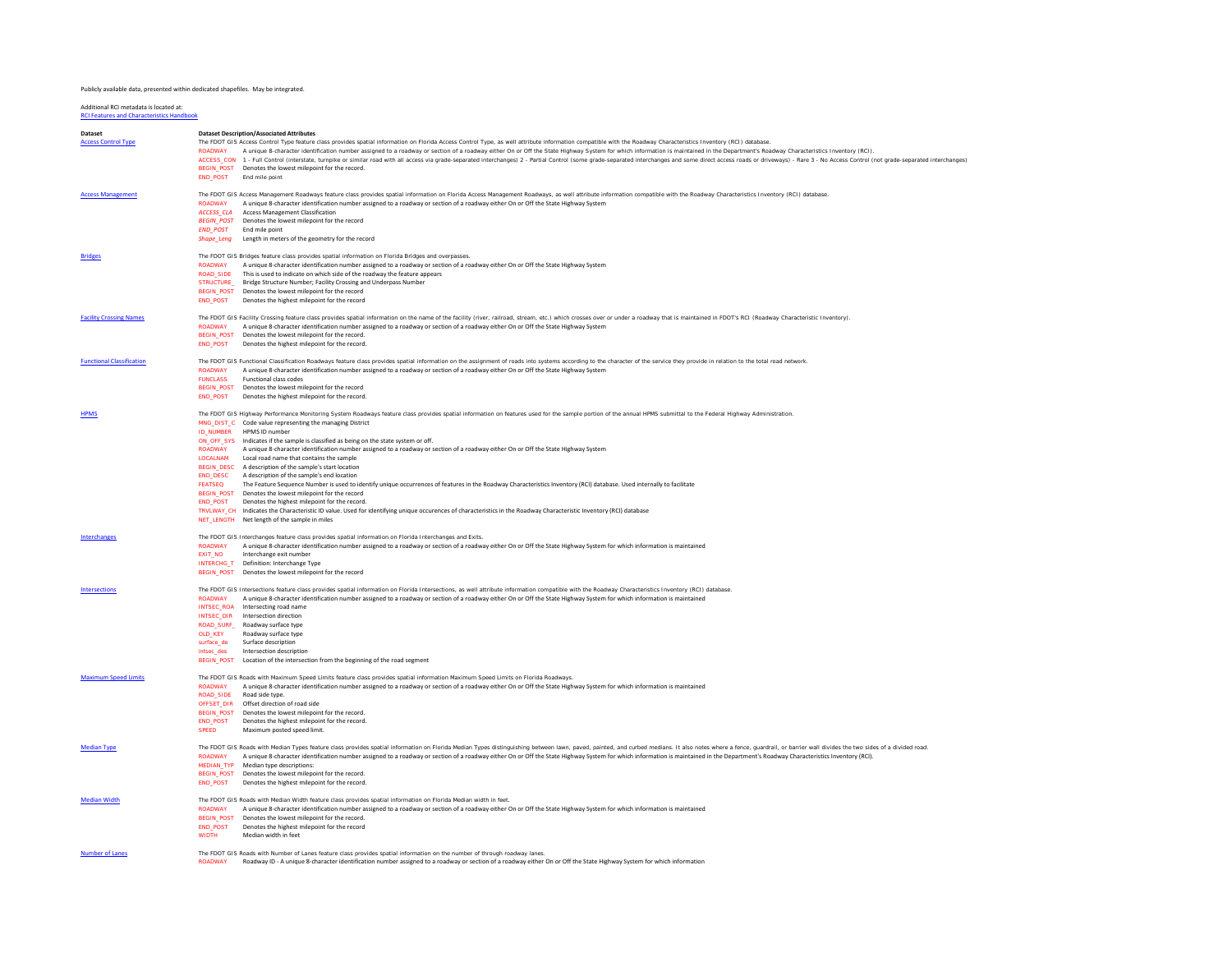## Publicly available data, presented within dedicated shapefiles. May be integrated.

Additional RCI metadata is located at: [RCI Features and Characteristics Handbook](http://www.dot.state.fl.us/planning/statistics/rci/)

| <b>Dataset</b><br><b>Access Control Type</b> | <b>Dataset Description/Associated Attributes</b><br>The FDOT GIS Access Control Type feature class provides spatial information on Florida Access Control Type, as well attribute information compatible with the Roadway Characteristics Inventory (RCI) database.<br>A unique 8-character identification number assigned to a roadway or section of a roadway either On or Off the State Highway System for which information is maintained in the Department's Roadway Characteristics Inventory (<br>ACCESS CON 1 - Full Control (interstate, turnoike or similar road with all access via grade-separated interchanges) 2 - Partial Control (some grade-separated interchanges and some direct access roads or driveways) - Rare 3<br>BEGIN POST Denotes the lowest milepoint for the record.<br>END_POST End mile point                                                                                                                                                                                                                                                                                                                                                                                                                                        |
|----------------------------------------------|----------------------------------------------------------------------------------------------------------------------------------------------------------------------------------------------------------------------------------------------------------------------------------------------------------------------------------------------------------------------------------------------------------------------------------------------------------------------------------------------------------------------------------------------------------------------------------------------------------------------------------------------------------------------------------------------------------------------------------------------------------------------------------------------------------------------------------------------------------------------------------------------------------------------------------------------------------------------------------------------------------------------------------------------------------------------------------------------------------------------------------------------------------------------------------------------------------------------------------------------------------------------|
| <b>Access Management</b>                     | The FDOT GIS Access Management Roadways feature class provides spatial information on Florida Access Management Roadways, as well attribute information compatible with the Roadway Characteristics Inventory (RCI) database<br>ROADWAY A unique 8-character identification number assigned to a roadway or section of a roadway either On or Off the State Highway System<br><b>ACCESS CLA</b> Access Management Classification<br>BEGIN_POST Denotes the lowest milepoint for the record<br><b>END POST</b> End mile point<br>Shape_Leng Length in meters of the geometry for the record                                                                                                                                                                                                                                                                                                                                                                                                                                                                                                                                                                                                                                                                           |
| <b>Bridges</b>                               | The FDOT GIS Bridges feature class provides spatial information on Florida Bridges and overpasses<br>ROADWAY A unique 8-character identification number assigned to a roadway or section of a roadway either On or Off the State Highway System<br>ROAD_SIDE This is used to indicate on which side of the roadway the feature appears<br>STRUCTURE Bridge Structure Number: Facility Crossing and Underpass Number<br>BEGIN_POST Denotes the lowest milepoint for the record<br>END POST Denotes the highest milepoint for the record                                                                                                                                                                                                                                                                                                                                                                                                                                                                                                                                                                                                                                                                                                                               |
| <b>Facility Crossing Names</b>               | The FDOT GIS Facility Crossing feature class provides spatial information on the name of the facility (river, railroad, stream, etc.) which crosses over or under a roadway that is maintained in FDOT's RCI (Roadway Characte<br>A unique 8-character identification number assigned to a roadway or section of a roadway either On or Off the State Highway System<br><b>ROADWAY</b><br>BEGIN POST Denotes the lowest milepoint for the record.<br>END POST Denotes the highest milepoint for the record.                                                                                                                                                                                                                                                                                                                                                                                                                                                                                                                                                                                                                                                                                                                                                          |
| <b>Functional Classification</b>             | The FDOT GIS Functional Classification Roadways feature class provides spatial information on the assignment of roads into systems according to the character of the service they provide in relation to the total road networ<br>A unique 8-character identification number assigned to a roadway or section of a roadway either On or Off the State Highway System<br><b>ROADWAY</b><br><b>FUNCLASS</b><br>Functional class codes<br>BEGIN POST Denotes the lowest milepoint for the record<br>Denotes the highest milepoint for the record.<br><b>END_POST</b>                                                                                                                                                                                                                                                                                                                                                                                                                                                                                                                                                                                                                                                                                                    |
| <b>HPMS</b>                                  | The FDOT GIS Highway Performance Monitoring System Roadways feature class provides spatial information on features used for the sample portion of the annual HPMS submittal to the Federal Highway Administration.<br>MNG DIST C Code value representing the managing District<br>ID NUMBER HPMS ID number<br>ON OFF SYS Indicates if the sample is classified as being on the state system or off.<br>ROADWAY A unique 8-character identification number assigned to a roadway or section of a roadway either On or Off the State Highway System<br>LOCALNAM Local road name that contains the sample<br>BEGIN_DESC A description of the sample's start location<br><b>END DESC</b> A description of the sample's end location<br>The Feature Sequence Number is used to identify unique occurrences of features in the Roadway Characteristics Inventory (RCI) database. Used internally to facilitate<br><b>FEATSEQ</b><br>BEGIN POST Denotes the lowest milepoint for the record<br>END_POST Denotes the highest milepoint for the record.<br>TRVLWAY_CH Indicates the Characteristic ID value. Used for identifying unique occurences of characteristics in the Roadway Characteristic Inventory (RCI) database<br>NET LENGTH Net length of the sample in miles |
| Interchanges                                 | The FDOT GIS Interchanges feature class provides spatial information on Florida Interchanges and Exits.<br>ROADWAY A unique 8-character identification number assigned to a roadway or section of a roadway either On or Off the State Highway System for which information is maintained<br>EXIT_NO<br>Interchange exit number<br>INTERCHG_T Definition: Interchange Type<br>BEGIN_POST Denotes the lowest milepoint for the record                                                                                                                                                                                                                                                                                                                                                                                                                                                                                                                                                                                                                                                                                                                                                                                                                                 |
| <b>Intersections</b>                         | The FDOT GIS Intersections feature class provides spatial information on Florida Intersections, as well attribute information compatible with the Roadway Characteristics Inventory (RCI) database<br>ROADWAY A unique 8-character identification number assigned to a roadway or section of a roadway either On or Off the State Highway System for which information is maintained<br>INTSEC_ROA Intersecting road name<br><b>INTSEC DIR</b> Intersection direction<br>ROAD_SURF_ Roadway surface type<br>Roadway surface type<br>OLD KEY<br>Surface description<br>surface_de<br>intsec des lntersection description<br>BEGIN_POST Location of the intersection from the beginning of the road segment                                                                                                                                                                                                                                                                                                                                                                                                                                                                                                                                                            |
| <b>Maximum Speed Limits</b>                  | The FDOT GIS Roads with Maximum Speed Limits feature class provides spatial information Maximum Speed Limits on Florida Roadways.<br>ROADWAY A unique 8-character identification number assigned to a roadway or section of a roadway either On or Off the State Highway System for which information is maintained<br>ROAD SIDE Road side type.<br>OFFSET_DIR Offset direction of road side<br>BEGIN_POST Denotes the lowest milepoint for the record.<br>END_POST Denotes the highest milepoint for the record.<br><b>SPEED</b><br>Maximum posted speed limit.                                                                                                                                                                                                                                                                                                                                                                                                                                                                                                                                                                                                                                                                                                     |
| <b>Median Type</b>                           | The FDOT GIS Roads with Median Types feature class provides spatial information on Florida Median Types distinguishing between lawn, paved, painted, and curbed medians. It also notes where a fence, guardrail, or barrier wa<br>ROADWAY A unique 8-character identification number assigned to a roadway or section of a roadway either On or Off the State Highway System for which information is maintained in the Department's Roadway Characteristics Inv<br>MEDIAN_TYP Median type descriptions:<br>BEGIN_POST Denotes the lowest milepoint for the record.<br>END_POST Denotes the highest milepoint for the record.                                                                                                                                                                                                                                                                                                                                                                                                                                                                                                                                                                                                                                        |
| <b>Median Width</b>                          | The FDOT GIS Roads with Median Width feature class provides spatial information on Florida Median width in feet.<br>ROADWAY A unique 8-character identification number assigned to a roadway or section of a roadway either On or Off the State Highway System for which information is maintained<br>BEGIN_POST Denotes the lowest milepoint for the record.<br>END_POST Denotes the highest milepoint for the record<br>Median width in feet<br><b>WIDTH</b>                                                                                                                                                                                                                                                                                                                                                                                                                                                                                                                                                                                                                                                                                                                                                                                                       |
| <b>Number of Lanes</b>                       | The FDOT GIS Roads with Number of Lanes feature class provides spatial information on the number of through roadway lanes.<br>ROADWAY Roadway ID - A unique 8-character identification number assigned to a roadway or section of a roadway either On or Off the State Highway System for which information                                                                                                                                                                                                                                                                                                                                                                                                                                                                                                                                                                                                                                                                                                                                                                                                                                                                                                                                                          |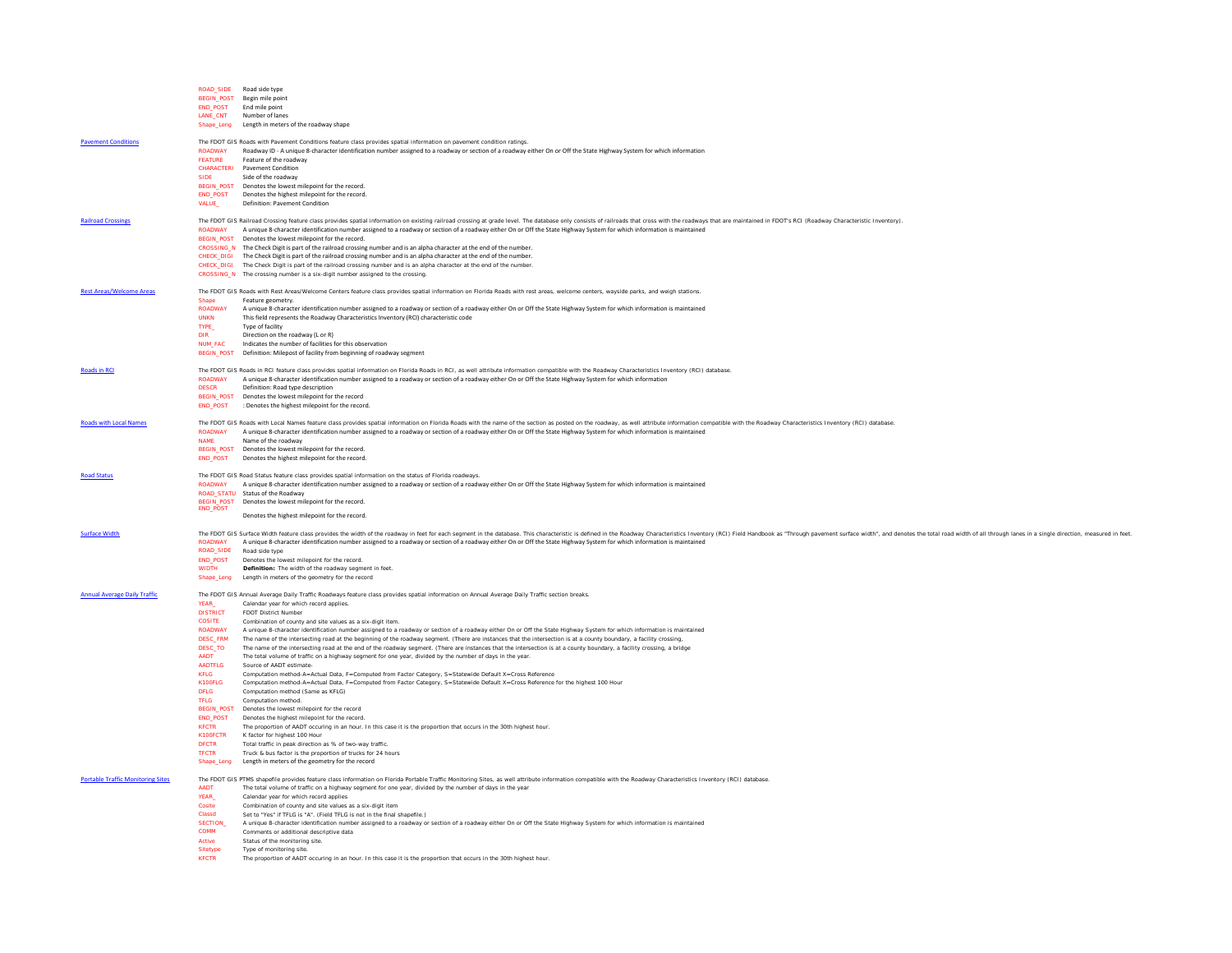|                                          |                                 | ROAD SIDE Road side type                                                                                                                                                                                                                                                                               |
|------------------------------------------|---------------------------------|--------------------------------------------------------------------------------------------------------------------------------------------------------------------------------------------------------------------------------------------------------------------------------------------------------|
|                                          |                                 | BEGIN_POST Begin mile point                                                                                                                                                                                                                                                                            |
|                                          |                                 | END POST End mile point                                                                                                                                                                                                                                                                                |
|                                          |                                 | LANE_CNT Number of lanes                                                                                                                                                                                                                                                                               |
|                                          |                                 | Shape_Leng Length in meters of the roadway shape                                                                                                                                                                                                                                                       |
| <b>Pavement Conditions</b>               |                                 |                                                                                                                                                                                                                                                                                                        |
|                                          |                                 | The FDOT GIS Roads with Pavement Conditions feature class provides spatial information on pavement condition ratings.<br>ROADWAY Roadway ID - A unique 8-character identification number assigned to a roadway or section of a roadway either On or Off the State Highway System for which information |
|                                          | <b>FFATURE</b>                  | Feature of the roadway                                                                                                                                                                                                                                                                                 |
|                                          |                                 | CHARACTERI Pavement Condition                                                                                                                                                                                                                                                                          |
|                                          | <b>SIDE</b>                     | Side of the roadway                                                                                                                                                                                                                                                                                    |
|                                          |                                 | BEGIN POST Denotes the lowest milepoint for the record                                                                                                                                                                                                                                                 |
|                                          |                                 | END_POST Denotes the highest milepoint for the record.                                                                                                                                                                                                                                                 |
|                                          | <b>VALUE_</b>                   | Definition: Payement Condition                                                                                                                                                                                                                                                                         |
|                                          |                                 |                                                                                                                                                                                                                                                                                                        |
| <b>Railroad Crossings</b>                |                                 | The FDOT GIS Railroad Crossing feature class provides spatial information on existing railroad crossing at grade level. The database only consists of railroads that cross with the roadways that are maintained in FDOT's RCI                                                                         |
|                                          |                                 | ROADWAY A unique 8-character identification number assigned to a roadway or section of a roadway either On or Off the State Highway System for which information is maintained                                                                                                                         |
|                                          |                                 | BEGIN_POST Denotes the lowest milepoint for the record.<br>CROSSING_N The Check Digit is part of the railroad crossing number and is an alpha character at the end of the number.                                                                                                                      |
|                                          |                                 | CHECK_DIGI The Check Digit is part of the railroad crossing number and is an alpha character at the end of the number.                                                                                                                                                                                 |
|                                          |                                 | CHECK_DIGI The Check Digit is part of the railroad crossing number and is an alpha character at the end of the number                                                                                                                                                                                  |
|                                          |                                 | CROSSING N The crossing number is a six-digit number assigned to the crossing.                                                                                                                                                                                                                         |
|                                          |                                 |                                                                                                                                                                                                                                                                                                        |
| <b>Rest Areas/Welcome Areas</b>          |                                 | The FDOT GIS Roads with Rest Areas/Welcome Centers feature class provides spatial information on Florida Roads with rest areas, welcome centers, wayside parks, and weigh stations.                                                                                                                    |
|                                          | Shape                           | Feature geometry                                                                                                                                                                                                                                                                                       |
|                                          |                                 | ROADWAY A unique 8-character identification number assigned to a roadway or section of a roadway either On or Off the State Highway System for which information is maintained                                                                                                                         |
|                                          | <b>UNKN</b>                     | This field represents the Roadway Characteristics Inventory (RCI) characteristic code                                                                                                                                                                                                                  |
|                                          | <b>TYPE</b>                     | Type of facility                                                                                                                                                                                                                                                                                       |
|                                          | DIR                             | Direction on the roadway (L or R)                                                                                                                                                                                                                                                                      |
|                                          | <b>NUM_FAC</b>                  | Indicates the number of facilities for this observation                                                                                                                                                                                                                                                |
|                                          |                                 | BEGIN_POST Definition: Milepost of facility from beginning of roadway segment                                                                                                                                                                                                                          |
| <b>Roads in RCI</b>                      |                                 | The FDOT GIS Roads in RCI feature class provides spatial information on Florida Roads in RCI, as well attribute information compatible with the Roadway Characteristics Inventory (RCI) database                                                                                                       |
|                                          | <b>ROADWAY</b>                  | A unique 8-character identification number assigned to a roadway or section of a roadway either On or Off the State Highway System for which informatior                                                                                                                                               |
|                                          | <b>DESCR</b>                    | Definition: Road type description                                                                                                                                                                                                                                                                      |
|                                          |                                 | BEGIN_POST Denotes the lowest milepoint for the record                                                                                                                                                                                                                                                 |
|                                          |                                 | END POST : Denotes the highest milepoint for the record.                                                                                                                                                                                                                                               |
|                                          |                                 |                                                                                                                                                                                                                                                                                                        |
| <b>Roads with Local Names</b>            |                                 | The FDOT GIS Roads with Local Names feature class provides spatial information on Florida Roads with the name of the section as posted on the roadway, as well attribute information compatible with the Roadway Characteristi                                                                         |
|                                          |                                 | ROADWAY A unique 8-character identification number assigned to a roadway or section of a roadway either On or Off the State Highway System for which information is maintained                                                                                                                         |
|                                          | <b>NAME</b>                     | Name of the roadway                                                                                                                                                                                                                                                                                    |
|                                          |                                 | BEGIN_POST Denotes the lowest milepoint for the record.                                                                                                                                                                                                                                                |
|                                          |                                 | END_POST Denotes the highest milepoint for the record.                                                                                                                                                                                                                                                 |
| <b>Road Status</b>                       |                                 | The FDOT GIS Road Status feature class provides spatial information on the status of Florida roadways.                                                                                                                                                                                                 |
|                                          |                                 | ROADWAY A unique 8-character identification number assigned to a roadway or section of a roadway either On or Off the State Highway System for which information is maintained                                                                                                                         |
|                                          |                                 | ROAD, STATU Status of the Roadway                                                                                                                                                                                                                                                                      |
|                                          |                                 | BEGIN_POST Denotes the lowest milepoint for the record.                                                                                                                                                                                                                                                |
|                                          | <b>END_POST</b>                 |                                                                                                                                                                                                                                                                                                        |
|                                          |                                 | Denotes the highest milepoint for the record.                                                                                                                                                                                                                                                          |
| <b>Surface Width</b>                     |                                 | The FDOT GIS Surface Width feature class provides the width of the roadway in feet for each segment in the database. This characteristic is defined in the Roadway Characteristics Inventory (RCI) Field Handbook as "Through                                                                          |
|                                          |                                 | ROADWAY A unique 8-character identification number assigned to a roadway or section of a roadway either On or Off the State Highway System for which information is maintained                                                                                                                         |
|                                          |                                 | ROAD_SIDE Road side type                                                                                                                                                                                                                                                                               |
|                                          |                                 | END_POST Denotes the lowest milepoint for the record.                                                                                                                                                                                                                                                  |
|                                          | <b>WIDTH</b>                    | Definition: The width of the roadway segment in feet                                                                                                                                                                                                                                                   |
|                                          |                                 | Shape_Leng Length in meters of the geometry for the record                                                                                                                                                                                                                                             |
|                                          |                                 |                                                                                                                                                                                                                                                                                                        |
| <b>Annual Average Daily Traffic</b>      |                                 | The FDOT GIS Annual Average Daily Traffic Roadways feature class provides spatial information on Annual Average Daily Traffic section breaks                                                                                                                                                           |
|                                          | YEAR_                           | Calendar year for which record applies.                                                                                                                                                                                                                                                                |
|                                          | <b>DISTRICT</b>                 | <b>FDOT District Number</b>                                                                                                                                                                                                                                                                            |
|                                          | <b>COSITE</b><br><b>ROADWAY</b> | Combination of county and site values as a six-digit item.<br>A unique 8-character identification number assigned to a roadway or section of a roadway either On or Off the State Highway System for which information is maintained                                                                   |
|                                          |                                 | DESC_FRM The name of the intersecting road at the beginning of the roadway segment. (There are instances that the intersection is at a county boundary, a facility crossing                                                                                                                            |
|                                          |                                 | DESC_TO The name of the intersecting road at the end of the roadway segment. (There are instances that the intersection is at a county boundary, a facility crossing, a bridge                                                                                                                         |
|                                          | <b>AADT</b>                     | The total volume of traffic on a highway segment for one year, divided by the number of days in the year.                                                                                                                                                                                              |
|                                          | <b>AADTFLG</b>                  | Source of AADT estimate                                                                                                                                                                                                                                                                                |
|                                          | <b>KFLG</b>                     | Computation method-A=Actual Data, F=Computed from Factor Category, S=Statewide Default X=Cross Reference                                                                                                                                                                                               |
|                                          | K100FLG                         | Computation method-A=Actual Data, F=Computed from Factor Category, S=Statewide Default X=Cross Reference for the highest 100 Hour                                                                                                                                                                      |
|                                          | <b>DFLG</b>                     | Computation method (Same as KFLG)                                                                                                                                                                                                                                                                      |
|                                          | <b>TFLG</b>                     | Computation method.                                                                                                                                                                                                                                                                                    |
|                                          |                                 | BEGIN POST Denotes the lowest milepoint for the record                                                                                                                                                                                                                                                 |
|                                          |                                 | END_POST Denotes the highest milepoint for the record                                                                                                                                                                                                                                                  |
|                                          | <b>KFCTR</b>                    | The proportion of AADT occuring in an hour. In this case it is the proportion that occurs in the 30th highest hour<br>K100FCTR K factor for highest 100 Hour                                                                                                                                           |
|                                          | <b>DFCTR</b>                    | Total traffic in peak direction as % of two-way traffic                                                                                                                                                                                                                                                |
|                                          | <b>TFCTR</b>                    | Truck & bus factor is the proportion of trucks for 24 hours                                                                                                                                                                                                                                            |
|                                          |                                 | Shape_Leng Length in meters of the geometry for the record                                                                                                                                                                                                                                             |
|                                          |                                 |                                                                                                                                                                                                                                                                                                        |
| <b>Portable Traffic Monitoring Sites</b> |                                 | The FDOT GIS PTMS shapefile provides feature class information on Florida Portable Traffic Monitoring Sites, as well attribute information compatible with the Roadway Characteristics Inventory (RCI) database                                                                                        |
|                                          | <b>AADT</b>                     | The total volume of traffic on a highway segment for one year, divided by the number of days in the year                                                                                                                                                                                               |
|                                          | <b>YEAR</b>                     | Calendar year for which record applies                                                                                                                                                                                                                                                                 |
|                                          | Cosite                          | Combination of county and site values as a six-digit item                                                                                                                                                                                                                                              |
|                                          | Classd                          | Set to "Yes" if TFLG is "A". (Field TFLG is not in the final shapefile.)                                                                                                                                                                                                                               |
|                                          |                                 | SECTION_ A unique 8-character identification number assigned to a roadway or section of a roadway either On or Off the State Highway System for which information is maintained                                                                                                                        |
|                                          | <b>COMM</b>                     | Comments or additional descriptive data                                                                                                                                                                                                                                                                |
|                                          | Active                          | Status of the monitoring site.<br>Type of monitoring site                                                                                                                                                                                                                                              |
|                                          | Sitetype<br><b>KFCTR</b>        | The proportion of AADT occuring in an hour. In this case it is the proportion that occurs in the 30th highest hour.                                                                                                                                                                                    |
|                                          |                                 |                                                                                                                                                                                                                                                                                                        |